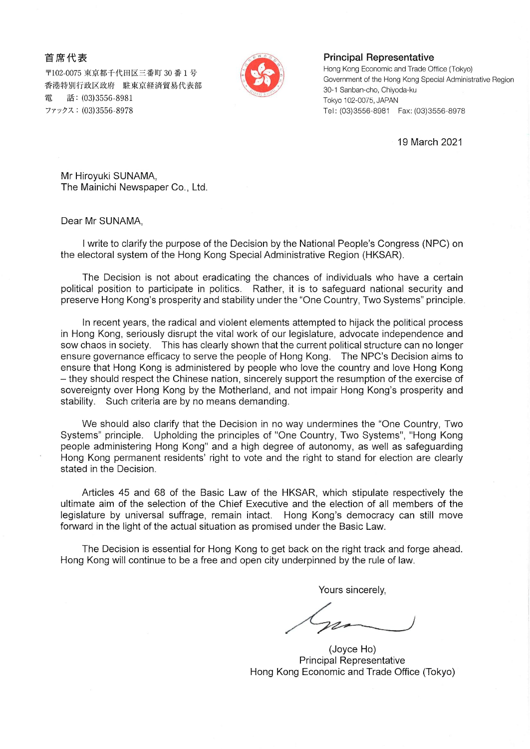首席代表

〒102-0075 東京都千代田区三番町 30 番 1 号 香港特別行政区政府 駐東京経済貿易代表部 雷 話: (03)3556-8981 ファックス: (03)3556-8978



## **Principal Representative**

Hong Kong Economic and Trade Office (Tokyo) Government of the Hong Kong Special Administrative Region 30-1 Sanban-cho, Chivoda-ku Tokyo 102-0075, JAPAN Tel: (03)3556-8981 Fax: (03)3556-8978

19 March 2021

Mr Hiroyuki SUNAMA, The Mainichi Newspaper Co., Ltd.

Dear Mr SUNAMA,

I write to clarify the purpose of the Decision by the National People's Congress (NPC) on the electoral system of the Hong Kong Special Administrative Region (HKSAR).

The Decision is not about eradicating the chances of individuals who have a certain political position to participate in politics. Rather, it is to safeguard national security and preserve Hong Kong's prosperity and stability under the "One Country, Two Systems" principle.

In recent years, the radical and violent elements attempted to hijack the political process in Hong Kong, seriously disrupt the vital work of our legislature, advocate independence and sow chaos in society. This has clearly shown that the current political structure can no longer ensure governance efficacy to serve the people of Hong Kong. The NPC's Decision aims to ensure that Hong Kong is administered by people who love the country and love Hong Kong - they should respect the Chinese nation, sincerely support the resumption of the exercise of sovereignty over Hong Kong by the Motherland, and not impair Hong Kong's prosperity and stability. Such criteria are by no means demanding.

We should also clarify that the Decision in no way undermines the "One Country, Two Systems" principle. Upholding the principles of "One Country, Two Systems", "Hong Kong people administering Hong Kong" and a high degree of autonomy, as well as safeguarding Hong Kong permanent residents' right to vote and the right to stand for election are clearly stated in the Decision.

Articles 45 and 68 of the Basic Law of the HKSAR, which stipulate respectively the ultimate aim of the selection of the Chief Executive and the election of all members of the legislature by universal suffrage, remain intact. Hong Kong's democracy can still move forward in the light of the actual situation as promised under the Basic Law.

The Decision is essential for Hong Kong to get back on the right track and forge ahead. Hong Kong will continue to be a free and open city underpinned by the rule of law.

Yours sincerely,

(Joyce Ho) **Principal Representative** Hong Kong Economic and Trade Office (Tokyo)